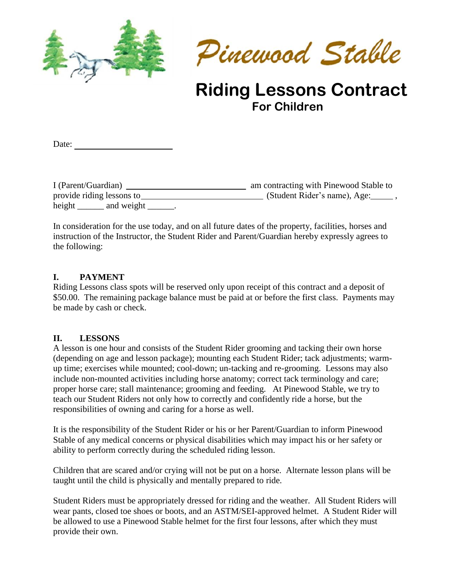



# **Riding Lessons Contract For Children**

Date:

I (Parent/Guardian) am contracting with Pinewood Stable to provide riding lessons to (Student Rider's name), Age: , height and weight .

In consideration for the use today, and on all future dates of the property, facilities, horses and instruction of the Instructor, the Student Rider and Parent/Guardian hereby expressly agrees to the following:

### **I. PAYMENT**

Riding Lessons class spots will be reserved only upon receipt of this contract and a deposit of \$50.00. The remaining package balance must be paid at or before the first class. Payments may be made by cash or check.

#### **II. LESSONS**

A lesson is one hour and consists of the Student Rider grooming and tacking their own horse (depending on age and lesson package); mounting each Student Rider; tack adjustments; warmup time; exercises while mounted; cool-down; un-tacking and re-grooming. Lessons may also include non-mounted activities including horse anatomy; correct tack terminology and care; proper horse care; stall maintenance; grooming and feeding. At Pinewood Stable, we try to teach our Student Riders not only how to correctly and confidently ride a horse, but the responsibilities of owning and caring for a horse as well.

It is the responsibility of the Student Rider or his or her Parent/Guardian to inform Pinewood Stable of any medical concerns or physical disabilities which may impact his or her safety or ability to perform correctly during the scheduled riding lesson.

Children that are scared and/or crying will not be put on a horse. Alternate lesson plans will be taught until the child is physically and mentally prepared to ride.

Student Riders must be appropriately dressed for riding and the weather. All Student Riders will wear pants, closed toe shoes or boots, and an ASTM/SEI-approved helmet. A Student Rider will be allowed to use a Pinewood Stable helmet for the first four lessons, after which they must provide their own.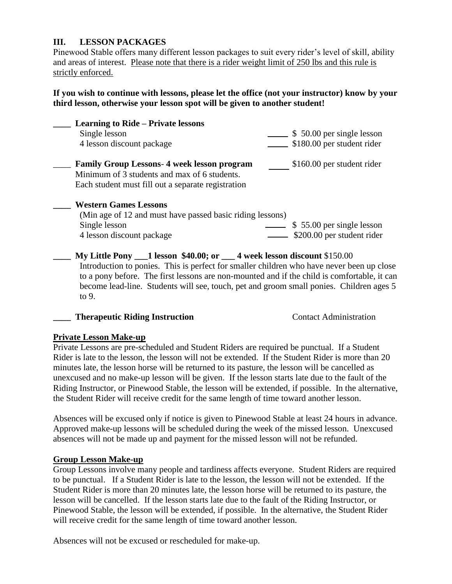### **III. LESSON PACKAGES**

Pinewood Stable offers many different lesson packages to suit every rider's level of skill, ability and areas of interest. Please note that there is a rider weight limit of 250 lbs and this rule is strictly enforced.

### **If you wish to continue with lessons, please let the office (not your instructor) know by your third lesson, otherwise your lesson spot will be given to another student!**

| <b>Learning to Ride – Private lessons</b>                 |                            |
|-----------------------------------------------------------|----------------------------|
| Single lesson                                             | \$50.00 per single lesson  |
| 4 lesson discount package                                 | \$180.00 per student rider |
| <b>Family Group Lessons-4 week lesson program</b>         | \$160.00 per student rider |
| Minimum of 3 students and max of 6 students.              |                            |
| Each student must fill out a separate registration        |                            |
| <b>Western Games Lessons</b>                              |                            |
| (Min age of 12 and must have passed basic riding lessons) |                            |
| Single lesson                                             | \$55.00 per single lesson  |
| 4 lesson discount package                                 | \$200.00 per student rider |
|                                                           |                            |

**\_\_\_\_ My Little Pony \_\_\_1 lesson \$40.00; or \_\_\_ 4 week lesson discount** \$150.00 Introduction to ponies. This is perfect for smaller children who have never been up close to a pony before. The first lessons are non-mounted and if the child is comfortable, it can become lead-line. Students will see, touch, pet and groom small ponies. Children ages 5 to 9.

### **Therapeutic Riding Instruction** Contact Administration

### **Private Lesson Make-up**

Private Lessons are pre-scheduled and Student Riders are required be punctual. If a Student Rider is late to the lesson, the lesson will not be extended. If the Student Rider is more than 20 minutes late, the lesson horse will be returned to its pasture, the lesson will be cancelled as unexcused and no make-up lesson will be given. If the lesson starts late due to the fault of the Riding Instructor, or Pinewood Stable, the lesson will be extended, if possible. In the alternative, the Student Rider will receive credit for the same length of time toward another lesson.

Absences will be excused only if notice is given to Pinewood Stable at least 24 hours in advance. Approved make-up lessons will be scheduled during the week of the missed lesson. Unexcused absences will not be made up and payment for the missed lesson will not be refunded.

### **Group Lesson Make-up**

Group Lessons involve many people and tardiness affects everyone. Student Riders are required to be punctual. If a Student Rider is late to the lesson, the lesson will not be extended. If the Student Rider is more than 20 minutes late, the lesson horse will be returned to its pasture, the lesson will be cancelled. If the lesson starts late due to the fault of the Riding Instructor, or Pinewood Stable, the lesson will be extended, if possible. In the alternative, the Student Rider will receive credit for the same length of time toward another lesson.

Absences will not be excused or rescheduled for make-up.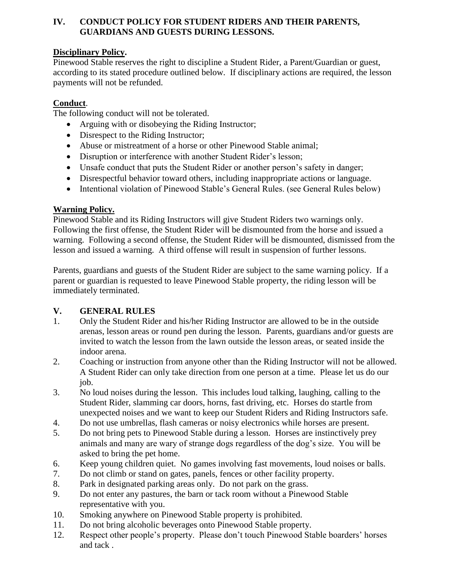### **IV. CONDUCT POLICY FOR STUDENT RIDERS AND THEIR PARENTS, GUARDIANS AND GUESTS DURING LESSONS.**

# **Disciplinary Policy.**

Pinewood Stable reserves the right to discipline a Student Rider, a Parent/Guardian or guest, according to its stated procedure outlined below. If disciplinary actions are required, the lesson payments will not be refunded.

# **Conduct**.

The following conduct will not be tolerated.

- Arguing with or disobeying the Riding Instructor;
- Disrespect to the Riding Instructor;
- Abuse or mistreatment of a horse or other Pinewood Stable animal;
- Disruption or interference with another Student Rider's lesson;
- Unsafe conduct that puts the Student Rider or another person's safety in danger;
- Disrespectful behavior toward others, including inappropriate actions or language.
- Intentional violation of Pinewood Stable's General Rules. (see General Rules below)

# **Warning Policy.**

Pinewood Stable and its Riding Instructors will give Student Riders two warnings only. Following the first offense, the Student Rider will be dismounted from the horse and issued a warning. Following a second offense, the Student Rider will be dismounted, dismissed from the lesson and issued a warning. A third offense will result in suspension of further lessons.

Parents, guardians and guests of the Student Rider are subject to the same warning policy. If a parent or guardian is requested to leave Pinewood Stable property, the riding lesson will be immediately terminated.

# **V. GENERAL RULES**

- 1. Only the Student Rider and his/her Riding Instructor are allowed to be in the outside arenas, lesson areas or round pen during the lesson. Parents, guardians and/or guests are invited to watch the lesson from the lawn outside the lesson areas, or seated inside the indoor arena.
- 2. Coaching or instruction from anyone other than the Riding Instructor will not be allowed. A Student Rider can only take direction from one person at a time. Please let us do our job.
- 3. No loud noises during the lesson. This includes loud talking, laughing, calling to the Student Rider, slamming car doors, horns, fast driving, etc. Horses do startle from unexpected noises and we want to keep our Student Riders and Riding Instructors safe.
- 4. Do not use umbrellas, flash cameras or noisy electronics while horses are present.
- 5. Do not bring pets to Pinewood Stable during a lesson. Horses are instinctively prey animals and many are wary of strange dogs regardless of the dog's size. You will be asked to bring the pet home.
- 6. Keep young children quiet. No games involving fast movements, loud noises or balls.
- 7. Do not climb or stand on gates, panels, fences or other facility property.
- 8. Park in designated parking areas only. Do not park on the grass.
- 9. Do not enter any pastures, the barn or tack room without a Pinewood Stable representative with you.
- 10. Smoking anywhere on Pinewood Stable property is prohibited.
- 11. Do not bring alcoholic beverages onto Pinewood Stable property.
- 12. Respect other people's property. Please don't touch Pinewood Stable boarders' horses and tack .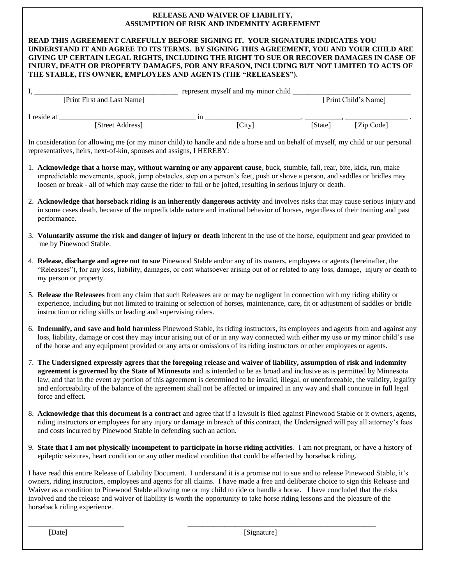#### **RELEASE AND WAIVER OF LIABILITY, ASSUMPTION OF RISK AND INDEMNITY AGREEMENT**

| ASSUMPTION OF RISK AND INDEMNITY AGREEMENT                                                                                                                                                                                                                                                                                                                                                                                        |                                                                                                                                                                                                                                                                                                                                                                                                                                                                                                                                                                            |  |  |  |  |  |
|-----------------------------------------------------------------------------------------------------------------------------------------------------------------------------------------------------------------------------------------------------------------------------------------------------------------------------------------------------------------------------------------------------------------------------------|----------------------------------------------------------------------------------------------------------------------------------------------------------------------------------------------------------------------------------------------------------------------------------------------------------------------------------------------------------------------------------------------------------------------------------------------------------------------------------------------------------------------------------------------------------------------------|--|--|--|--|--|
| READ THIS AGREEMENT CAREFULLY BEFORE SIGNING IT. YOUR SIGNATURE INDICATES YOU<br>UNDERSTAND IT AND AGREE TO ITS TERMS. BY SIGNING THIS AGREEMENT, YOU AND YOUR CHILD ARE<br>GIVING UP CERTAIN LEGAL RIGHTS, INCLUDING THE RIGHT TO SUE OR RECOVER DAMAGES IN CASE OF<br>INJURY, DEATH OR PROPERTY DAMAGES, FOR ANY REASON, INCLUDING BUT NOT LIMITED TO ACTS OF<br>THE STABLE, ITS OWNER, EMPLOYEES AND AGENTS (THE "RELEASEES"). |                                                                                                                                                                                                                                                                                                                                                                                                                                                                                                                                                                            |  |  |  |  |  |
|                                                                                                                                                                                                                                                                                                                                                                                                                                   |                                                                                                                                                                                                                                                                                                                                                                                                                                                                                                                                                                            |  |  |  |  |  |
|                                                                                                                                                                                                                                                                                                                                                                                                                                   | I, [Print First and Last Name] represent myself and my minor child [Print Child's Name]                                                                                                                                                                                                                                                                                                                                                                                                                                                                                    |  |  |  |  |  |
|                                                                                                                                                                                                                                                                                                                                                                                                                                   |                                                                                                                                                                                                                                                                                                                                                                                                                                                                                                                                                                            |  |  |  |  |  |
|                                                                                                                                                                                                                                                                                                                                                                                                                                   |                                                                                                                                                                                                                                                                                                                                                                                                                                                                                                                                                                            |  |  |  |  |  |
|                                                                                                                                                                                                                                                                                                                                                                                                                                   | In consideration for allowing me (or my minor child) to handle and ride a horse and on behalf of myself, my child or our personal<br>representatives, heirs, next-of-kin, spouses and assigns, I HEREBY:                                                                                                                                                                                                                                                                                                                                                                   |  |  |  |  |  |
| 1. Acknowledge that a horse may, without warning or any apparent cause, buck, stumble, fall, rear, bite, kick, run, make<br>unpredictable movements, spook, jump obstacles, step on a person's feet, push or shove a person, and saddles or bridles may<br>loosen or break - all of which may cause the rider to fall or be jolted, resulting in serious injury or death.                                                         |                                                                                                                                                                                                                                                                                                                                                                                                                                                                                                                                                                            |  |  |  |  |  |
| 2. Acknowledge that horseback riding is an inherently dangerous activity and involves risks that may cause serious injury and<br>in some cases death, because of the unpredictable nature and irrational behavior of horses, regardless of their training and past<br>performance.                                                                                                                                                |                                                                                                                                                                                                                                                                                                                                                                                                                                                                                                                                                                            |  |  |  |  |  |
| 3. Voluntarily assume the risk and danger of injury or death inherent in the use of the horse, equipment and gear provided to<br>me by Pinewood Stable.                                                                                                                                                                                                                                                                           |                                                                                                                                                                                                                                                                                                                                                                                                                                                                                                                                                                            |  |  |  |  |  |
|                                                                                                                                                                                                                                                                                                                                                                                                                                   | 4. Release, discharge and agree not to sue Pinewood Stable and/or any of its owners, employees or agents (hereinafter, the<br>"Releasees"), for any loss, liability, damages, or cost whatsoever arising out of or related to any loss, damage, injury or death to<br>my person or property.                                                                                                                                                                                                                                                                               |  |  |  |  |  |
| 5. Release the Releasees from any claim that such Releasees are or may be negligent in connection with my riding ability or<br>experience, including but not limited to training or selection of horses, maintenance, care, fit or adjustment of saddles or bridle<br>instruction or riding skills or leading and supervising riders.                                                                                             |                                                                                                                                                                                                                                                                                                                                                                                                                                                                                                                                                                            |  |  |  |  |  |
| 6. Indemnify, and save and hold harmless Pinewood Stable, its riding instructors, its employees and agents from and against any<br>loss, liability, damage or cost they may incur arising out of or in any way connected with either my use or my minor child's use<br>of the horse and any equipment provided or any acts or omissions of its riding instructors or other employees or agents.                                   |                                                                                                                                                                                                                                                                                                                                                                                                                                                                                                                                                                            |  |  |  |  |  |
|                                                                                                                                                                                                                                                                                                                                                                                                                                   | 7. The Undersigned expressly agrees that the foregoing release and waiver of liability, assumption of risk and indemnity<br>agreement is governed by the State of Minnesota and is intended to be as broad and inclusive as is permitted by Minnesota<br>law, and that in the event ay portion of this agreement is determined to be invalid, illegal, or unenforceable, the validity, legality<br>and enforceability of the balance of the agreement shall not be affected or impaired in any way and shall continue in full legal<br>force and effect.                   |  |  |  |  |  |
|                                                                                                                                                                                                                                                                                                                                                                                                                                   | 8. Acknowledge that this document is a contract and agree that if a lawsuit is filed against Pinewood Stable or it owners, agents,<br>riding instructors or employees for any injury or damage in breach of this contract, the Undersigned will pay all attorney's fees<br>and costs incurred by Pinewood Stable in defending such an action.                                                                                                                                                                                                                              |  |  |  |  |  |
|                                                                                                                                                                                                                                                                                                                                                                                                                                   | 9. State that I am not physically incompetent to participate in horse riding activities. I am not pregnant, or have a history of<br>epileptic seizures, heart condition or any other medical condition that could be affected by horseback riding.                                                                                                                                                                                                                                                                                                                         |  |  |  |  |  |
|                                                                                                                                                                                                                                                                                                                                                                                                                                   | I have read this entire Release of Liability Document. I understand it is a promise not to sue and to release Pinewood Stable, it's<br>owners, riding instructors, employees and agents for all claims. I have made a free and deliberate choice to sign this Release and<br>Waiver as a condition to Pinewood Stable allowing me or my child to ride or handle a horse. I have concluded that the risks<br>involved and the release and waiver of liability is worth the opportunity to take horse riding lessons and the pleasure of the<br>horseback riding experience. |  |  |  |  |  |

\_\_\_\_\_\_\_\_\_\_\_\_\_\_\_\_\_\_\_\_\_\_\_\_\_\_ \_\_\_\_\_\_\_\_\_\_\_\_\_\_\_\_\_\_\_\_\_\_\_\_\_\_\_\_\_\_\_\_\_\_\_\_\_\_\_\_\_\_\_\_\_\_\_\_\_\_\_